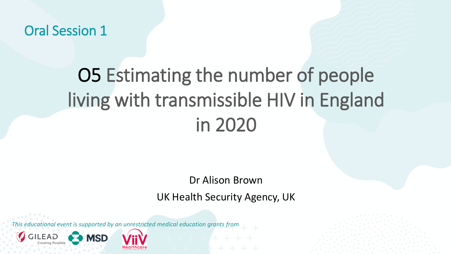Oral Session 1

### O5 Estimating the number of people living with transmissible HIV in England in 2020

Dr Alison Brown

UK Health Security Agency, UK

*This educational event is supported by an unrestricted medical education grants from* 

**MSD**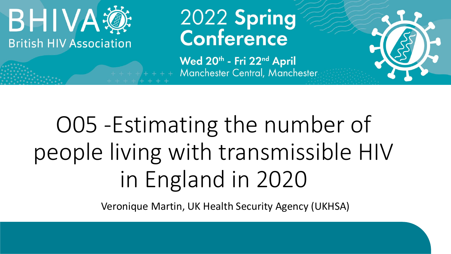

## 2022 Spring<br>Conference

Wed 20th - Fri 22nd April Manchester Central, Manchester

## O05 -Estimating the number of people living with transmissible HIV in England in 2020

Veronique Martin, UK Health Security Agency (UKHSA)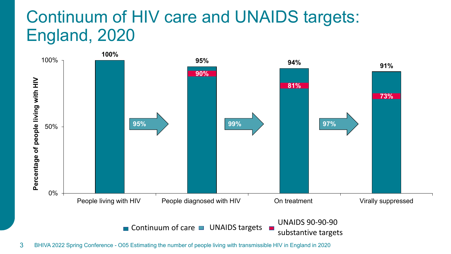#### Continuum of HIV care and UNAIDS targets: England, 2020

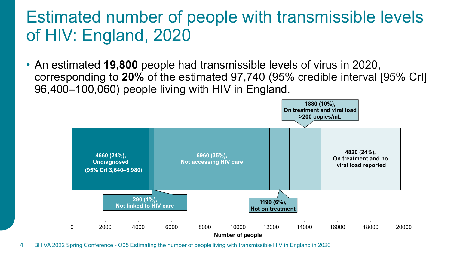#### Estimated number of people with transmissible levels of HIV: England, 2020

• An estimated **19,800** people had transmissible levels of virus in 2020, corresponding to **20%** of the estimated 97,740 (95% credible interval [95% CrI] 96,400–100,060) people living with HIV in England.

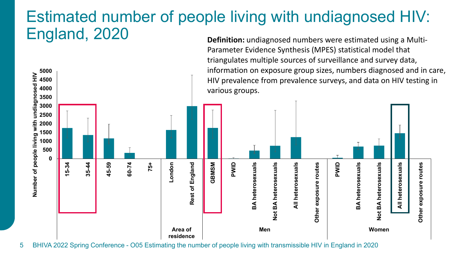#### Estimated number of people living with undiagnosed HIV: England, 2020 **Definition:** undiagnosed numbers were estimated using a Multi-

Parameter Evidence Synthesis (MPES) statistical model that

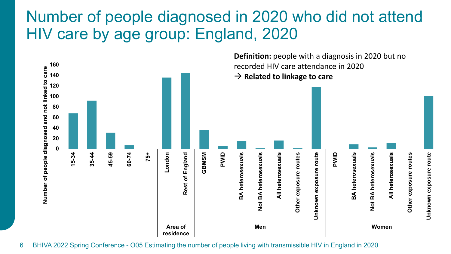#### Number of people diagnosed in 2020 who did not attend HIV care by age group: England, 2020

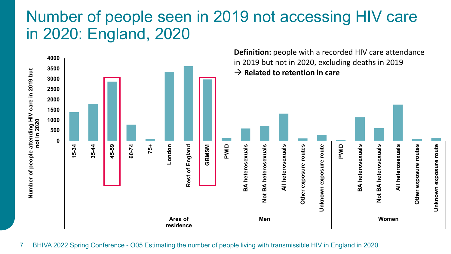#### Number of people seen in 2019 not accessing HIV care in 2020: England, 2020

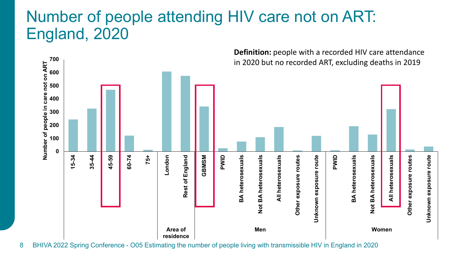#### Number of people attending HIV care not on ART: England, 2020

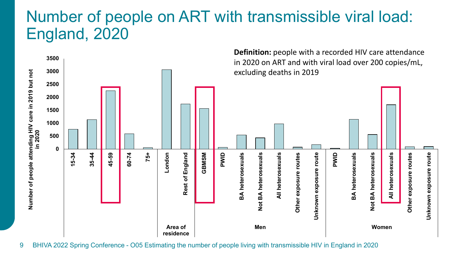#### Number of people on ART with transmissible viral load: England, 2020

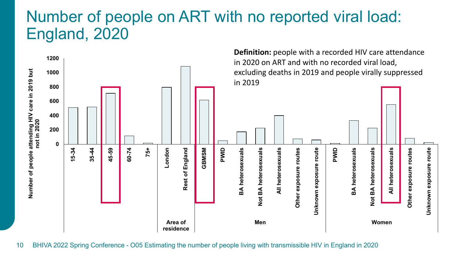#### Number of people on ART with no reported viral load: England, 2020

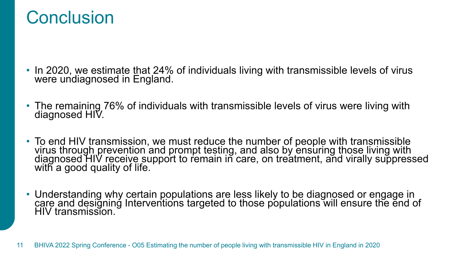#### **Conclusion**

- In 2020, we estimate that 24% of individuals living with transmissible levels of virus were undiagnosed in England.
- The remaining 76% of individuals with transmissible levels of virus were living with diagnosed HIV.
- To end HIV transmission, we must reduce the number of people with transmissible virus through prevention and prompt testing, and also by ensuring those living with diagnosed HIV receive support to remain in care, on treatment, and virally suppressed with a good quality of life.
- Understanding why certain populations are less likely to be diagnosed or engage in care and designing Interventions targeted to those populations will ensure the end of HIV transmission.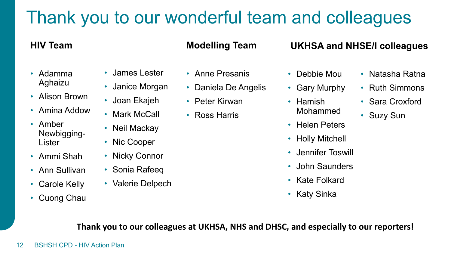#### Thank you to our wonderful team and colleagues

#### **HIV Team**

- Adamma Aghaizu
- Alison Brown

• James Lester

• Janice Morgan

• Joan Ekajeh

• Mark McCall

• Neil Mackay

• Nic Cooper

• Nicky Connor

• Sonia Rafeeq

• Valerie Delpech

- Amina Addow
- Amber Newbigging-Lister
- Ammi Shah
- Ann Sullivan
- Carole Kelly
- Cuong Chau

#### **Modelling Team**

- Anne Presanis
- Daniela De Angelis
- Peter Kirwan
- Ross Harris
- **UKHSA and NHSE/I colleagues**
- Debbie Mou
- Gary Murphy
- Hamish Mohammed
- Helen Peters
- Holly Mitchell
- Jennifer Toswill
- John Saunders
- Kate Folkard
- Katy Sinka
- Natasha Ratna
- Ruth Simmons
- Sara Croxford
- Suzy Sun

**Thank you to our colleagues at UKHSA, NHS and DHSC, and especially to our reporters!**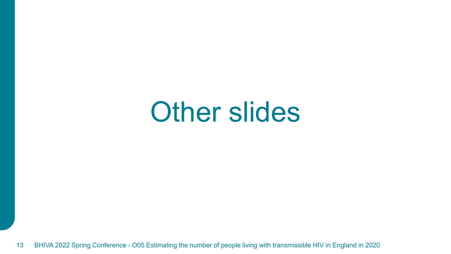## Other slides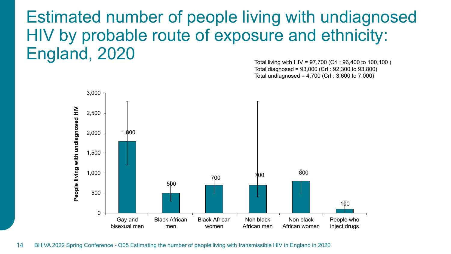Estimated number of people living with undiagnosed HIV by probable route of exposure and ethnicity: England, 2020

Total living with HIV = 97,700 (CrI : 96,400 to 100,100 ) Total diagnosed = 93,000 (CrI : 92,300 to 93,800) Total undiagnosed = 4,700 (CrI : 3,600 to 7,000)

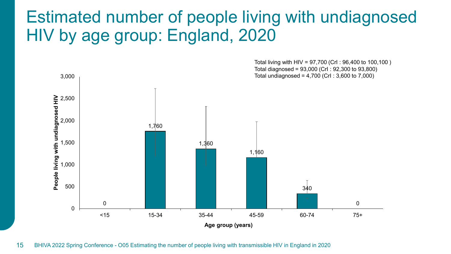#### Estimated number of people living with undiagnosed HIV by age group: England, 2020

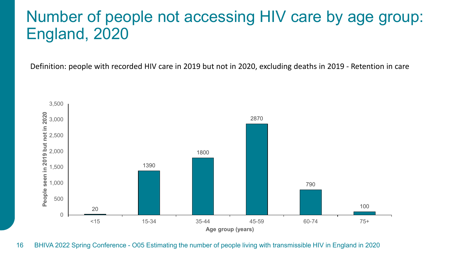#### Number of people not accessing HIV care by age group: England, 2020

Definition: people with recorded HIV care in 2019 but not in 2020, excluding deaths in 2019 - Retention in care